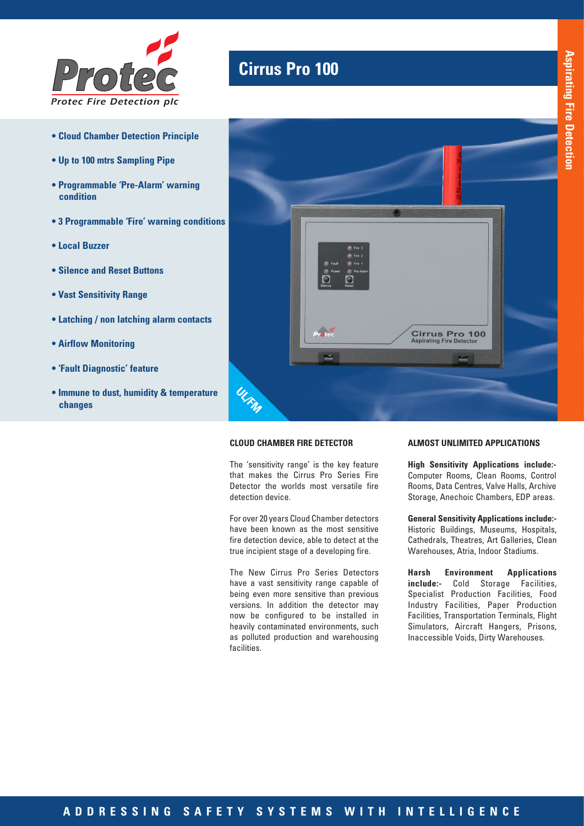

- **Cloud Chamber Detection Principle**
- **Up to 100 mtrs Sampling Pipe**
- **Programmable 'Pre-Alarm' warning condition**
- **3 Programmable 'Fire' warning conditions**
- **Local Buzzer**
- **Silence and Reset Buttons**
- **Vast Sensitivity Range**
- **Latching / non latching alarm contacts**
- **Airflow Monitoring**
- **'Fault Diagnostic' feature**
- **Immune to dust, humidity & temperature changes**

## **Cirrus Pro 100**



#### **CLOUD CHAMBER FIRE DETECTOR**

The 'sensitivity range' is the key feature that makes the Cirrus Pro Series Fire Detector the worlds most versatile fire detection device.

For over 20 years Cloud Chamber detectors have been known as the most sensitive fire detection device, able to detect at the true incipient stage of a developing fire.

The New Cirrus Pro Series Detectors have a vast sensitivity range capable of being even more sensitive than previous versions. In addition the detector may now be configured to be installed in heavily contaminated environments, such as polluted production and warehousing facilities.

#### **ALMOST UNLIMITED APPLICATIONS**

**High Sensitivity Applications include:-** Computer Rooms, Clean Rooms, Control Rooms, Data Centres, Valve Halls, Archive Storage, Anechoic Chambers, EDP areas.

**General Sensitivity Applications include:-**  Historic Buildings, Museums, Hospitals, Cathedrals, Theatres, Art Galleries, Clean Warehouses, Atria, Indoor Stadiums.

**Harsh Environment Applications include:-** Cold Storage Facilities, Specialist Production Facilities, Food Industry Facilities, Paper Production Facilities, Transportation Terminals, Flight Simulators, Aircraft Hangers, Prisons, Inaccessible Voids, Dirty Warehouses.